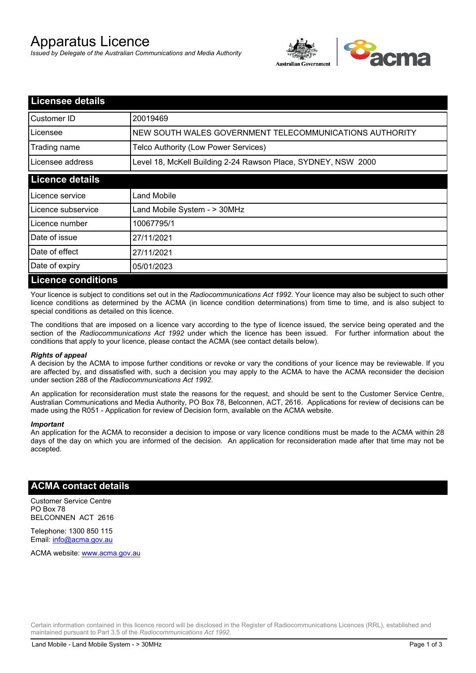# Apparatus Licence

*Issued by Delegate of the Australian Communications and Media Authority*



| <b>Licensee details</b>   |                                                               |
|---------------------------|---------------------------------------------------------------|
| Customer ID               | 20019469                                                      |
| Licensee                  | NEW SOUTH WALES GOVERNMENT TELECOMMUNICATIONS AUTHORITY       |
| Trading name              | Telco Authority (Low Power Services)                          |
| Licensee address          | Level 18, McKell Building 2-24 Rawson Place, SYDNEY, NSW 2000 |
| <b>Licence details</b>    |                                                               |
| l Licence service         | Land Mobile                                                   |
| Licence subservice        | Land Mobile System - > 30MHz                                  |
| Licence number            | 10067795/1                                                    |
| Date of issue             | 27/11/2021                                                    |
| Date of effect            | 27/11/2021                                                    |
| Date of expiry            | 05/01/2023                                                    |
| <b>Licence conditions</b> |                                                               |

Your licence is subject to conditions set out in the *Radiocommunications Act 1992*. Your licence may also be subject to such other licence conditions as determined by the ACMA (in licence condition determinations) from time to time, and is also subject to special conditions as detailed on this licence.

The conditions that are imposed on a licence vary according to the type of licence issued, the service being operated and the section of the *Radiocommunications Act 1992* under which the licence has been issued. For further information about the conditions that apply to your licence, please contact the ACMA (see contact details below).

### *Rights of appeal*

A decision by the ACMA to impose further conditions or revoke or vary the conditions of your licence may be reviewable. If you are affected by, and dissatisfied with, such a decision you may apply to the ACMA to have the ACMA reconsider the decision under section 288 of the *Radiocommunications Act 1992*.

An application for reconsideration must state the reasons for the request, and should be sent to the Customer Service Centre, Australian Communications and Media Authority, PO Box 78, Belconnen, ACT, 2616. Applications for review of decisions can be made using the R051 - Application for review of Decision form, available on the ACMA website.

#### *Important*

An application for the ACMA to reconsider a decision to impose or vary licence conditions must be made to the ACMA within 28 days of the day on which you are informed of the decision. An application for reconsideration made after that time may not be accepted.

### **ACMA contact details**

Customer Service Centre PO Box 78 BELCONNEN ACT 2616

Telephone: 1300 850 115 Email: info@acma.gov.au

ACMA website: www.acma.gov.au

Certain information contained in this licence record will be disclosed in the Register of Radiocommunications Licences (RRL), established and maintained pursuant to Part 3.5 of the *Radiocommunications Act 1992.*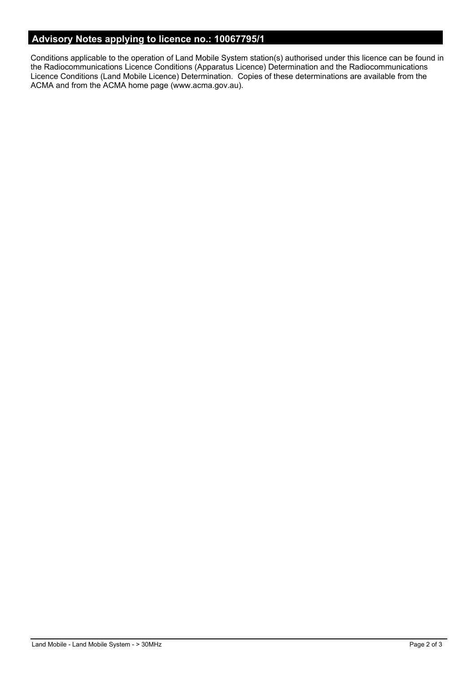# **Advisory Notes applying to licence no.: 10067795/1**

Conditions applicable to the operation of Land Mobile System station(s) authorised under this licence can be found in the Radiocommunications Licence Conditions (Apparatus Licence) Determination and the Radiocommunications Licence Conditions (Land Mobile Licence) Determination. Copies of these determinations are available from the ACMA and from the ACMA home page (www.acma.gov.au).